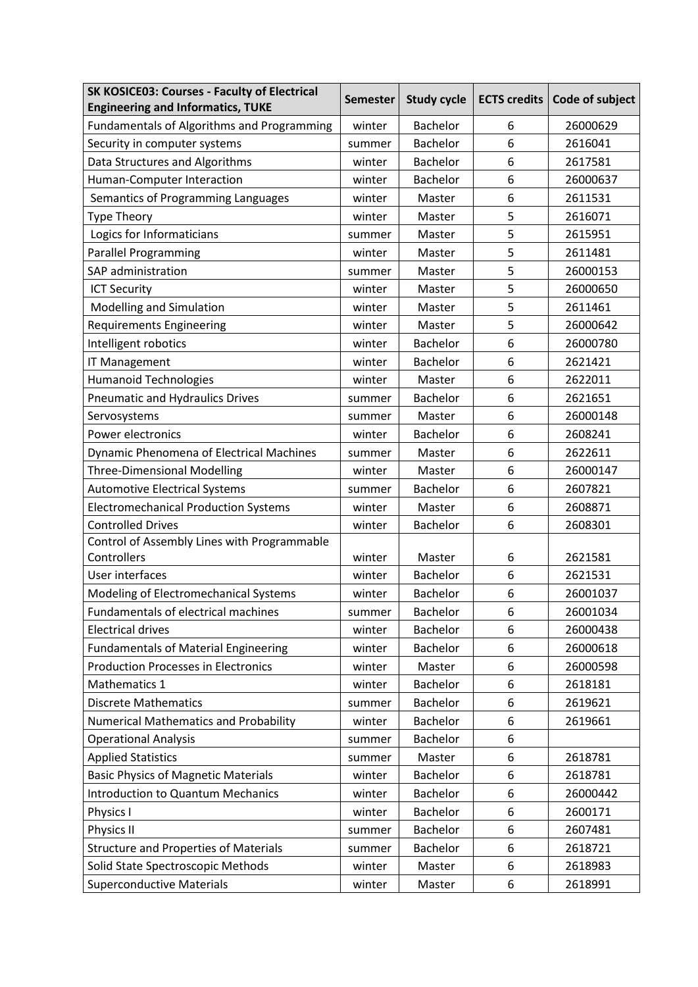| SK KOSICE03: Courses - Faculty of Electrical      | <b>Semester</b> | <b>Study cycle</b> | <b>ECTS credits</b> | Code of subject |
|---------------------------------------------------|-----------------|--------------------|---------------------|-----------------|
| <b>Engineering and Informatics, TUKE</b>          |                 |                    |                     |                 |
| <b>Fundamentals of Algorithms and Programming</b> | winter          | Bachelor           | 6                   | 26000629        |
| Security in computer systems                      | summer          | Bachelor           | 6                   | 2616041         |
| Data Structures and Algorithms                    | winter          | <b>Bachelor</b>    | 6                   | 2617581         |
| Human-Computer Interaction                        | winter          | Bachelor           | 6                   | 26000637        |
| Semantics of Programming Languages                | winter          | Master             | 6                   | 2611531         |
| <b>Type Theory</b>                                | winter          | Master             | 5                   | 2616071         |
| Logics for Informaticians                         | summer          | Master             | 5                   | 2615951         |
| <b>Parallel Programming</b>                       | winter          | Master             | 5                   | 2611481         |
| SAP administration                                | summer          | Master             | 5                   | 26000153        |
| <b>ICT Security</b>                               | winter          | Master             | 5                   | 26000650        |
| Modelling and Simulation                          | winter          | Master             | 5                   | 2611461         |
| <b>Requirements Engineering</b>                   | winter          | Master             | 5                   | 26000642        |
| Intelligent robotics                              | winter          | Bachelor           | 6                   | 26000780        |
| IT Management                                     | winter          | Bachelor           | 6                   | 2621421         |
| <b>Humanoid Technologies</b>                      | winter          | Master             | 6                   | 2622011         |
| <b>Pneumatic and Hydraulics Drives</b>            | summer          | Bachelor           | 6                   | 2621651         |
| Servosystems                                      | summer          | Master             | 6                   | 26000148        |
| Power electronics                                 | winter          | Bachelor           | 6                   | 2608241         |
| Dynamic Phenomena of Electrical Machines          | summer          | Master             | 6                   | 2622611         |
| <b>Three-Dimensional Modelling</b>                | winter          | Master             | 6                   | 26000147        |
| <b>Automotive Electrical Systems</b>              | summer          | Bachelor           | 6                   | 2607821         |
| <b>Electromechanical Production Systems</b>       | winter          | Master             | 6                   | 2608871         |
| <b>Controlled Drives</b>                          | winter          | Bachelor           | 6                   | 2608301         |
| Control of Assembly Lines with Programmable       |                 |                    |                     |                 |
| Controllers                                       | winter          | Master             | 6                   | 2621581         |
| User interfaces                                   | winter          | Bachelor           | 6                   | 2621531         |
| Modeling of Electromechanical Systems             | winter          | Bachelor           | 6                   | 26001037        |
| Fundamentals of electrical machines               | summer          | <b>Bachelor</b>    | 6                   | 26001034        |
| <b>Electrical drives</b>                          | winter          | Bachelor           | 6                   | 26000438        |
| <b>Fundamentals of Material Engineering</b>       | winter          | Bachelor           | 6                   | 26000618        |
| <b>Production Processes in Electronics</b>        | winter          | Master             | 6                   | 26000598        |
| Mathematics 1                                     | winter          | Bachelor           | 6                   | 2618181         |
| <b>Discrete Mathematics</b>                       | summer          | Bachelor           | 6                   | 2619621         |
| <b>Numerical Mathematics and Probability</b>      | winter          | Bachelor           | 6                   | 2619661         |
| <b>Operational Analysis</b>                       | summer          | Bachelor           | 6                   |                 |
| <b>Applied Statistics</b>                         | summer          | Master             | 6                   | 2618781         |
| <b>Basic Physics of Magnetic Materials</b>        | winter          | Bachelor           | 6                   | 2618781         |
| <b>Introduction to Quantum Mechanics</b>          | winter          | Bachelor           | 6                   | 26000442        |
| Physics I                                         | winter          | Bachelor           | 6                   | 2600171         |
| Physics II                                        | summer          | Bachelor           | 6                   | 2607481         |
| <b>Structure and Properties of Materials</b>      | summer          | Bachelor           | 6                   | 2618721         |
| Solid State Spectroscopic Methods                 | winter          | Master             | 6                   | 2618983         |
| <b>Superconductive Materials</b>                  | winter          | Master             | 6                   | 2618991         |